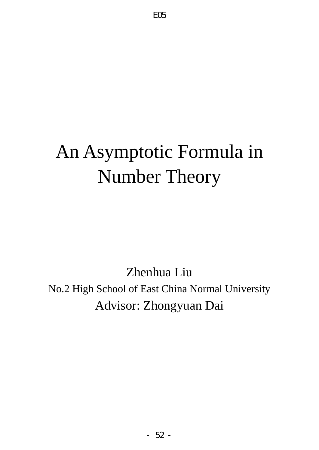# An Asymptotic Formula in Number Theory

Zhenhua Liu No.2 High School of East China Normal University Advisor: Zhongyuan Dai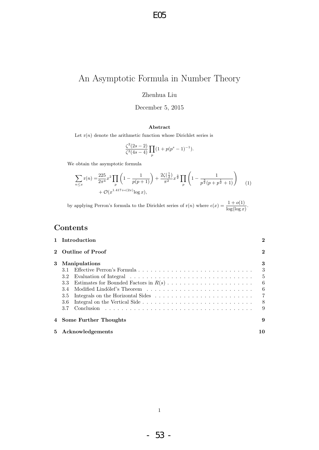E05

# An Asymptotic Formula in Number Theory

Zhenhua Liu

December 5, 2015

#### Abstract

Let  $r(n)$  denote the arithmetic function whose Dirichlet series is

$$
\frac{\zeta^2(2s-2)}{\zeta^2(4s-4)}\prod_p(1+p(p^s-1)^{-1}).
$$

We obtain the asymptotic formula

$$
\sum_{n \le x} \mathbf{r}(n) = \frac{225}{2\pi^4} x^2 \prod_p \left( 1 - \frac{1}{p(p+1)} \right) + \frac{2\zeta(\frac{1}{2})}{\pi^2} x^{\frac{3}{2}} \prod_p \left( 1 - \frac{1}{p^{\frac{3}{2}}(p+p^{\frac{1}{2}}+1)} \right) + \mathcal{O}(x^{1.417 + \epsilon(2x)} \log x),
$$
\n(1)

by applying Perron's formula to the Dirichlet series of  $r(n)$  where  $\epsilon(x) = \frac{1 + o(1)}{\log(\log x)}$ .

# Contents

|       | 1 Introduction                                                        | $\overline{2}$                                          |
|-------|-----------------------------------------------------------------------|---------------------------------------------------------|
|       | 2 Outline of Proof                                                    | $\mathbf{2}$                                            |
| 3     | <b>Manipulations</b><br>3.1<br>3.2<br>3.3<br>3.4<br>3.5<br>3.6<br>3.7 | 3<br>3<br>5<br>- 6<br>- 6<br>$\overline{7}$<br>- 8<br>9 |
|       | 4 Some Further Thoughts                                               | 9                                                       |
| $5 -$ | Acknowledgements                                                      | 10                                                      |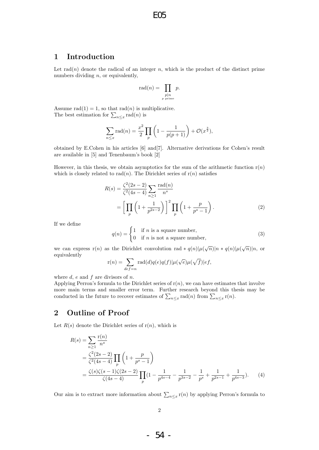## 1 Introduction

Let  $rad(n)$  denote the radical of an integer n, which is the product of the distinct prime numbers dividing  $n$ , or equivalently,

$$
\operatorname{rad}(n) = \prod_{\substack{p \mid n \\ p \text{ prime}}} p.
$$

Assume rad $(1) = 1$ , so that rad $(n)$  is multiplicative. The best estimation for  $\sum_{n\leq x} \text{rad}(n)$  is

$$
\sum_{n \le x} \text{rad}(n) = \frac{x^2}{2} \prod_p \left( 1 - \frac{1}{p(p+1)} \right) + \mathcal{O}(x^{\frac{3}{2}}),
$$

obtained by E.Cohen in his articles [6] and[7]. Alternative derivations for Cohen's result are available in [5] and Tenenbaum's book [2]

However, in this thesis, we obtain asymptotics for the sum of the arithmetic function  $r(n)$ which is closely related to rad(n). The Dirichlet series of  $r(n)$  satisfies

$$
R(s) = \frac{\zeta^2(2s-2)}{\zeta^2(4s-4)} \sum_{n\geq 1} \frac{\text{rad}(n)}{n^s}
$$
  
= 
$$
\left[ \prod_p \left( 1 + \frac{1}{p^{2s-2}} \right) \right]^2 \prod_p \left( 1 + \frac{p}{p^s - 1} \right).
$$
 (2)

If we define

$$
q(n) = \begin{cases} 1 & \text{if } n \text{ is a square number,} \\ 0 & \text{if } n \text{ is not a square number,} \end{cases}
$$
 (3)

we can express r(n) as the Dirichlet convolution rad  $* q(n) | \mu(\sqrt{n}) | n * q(n) | \mu(\sqrt{n}) | n$ , or equivalently

$$
\mathbf{r}(n) = \sum_{def=n} \mathbf{rad}(d)q(e)q(f)|\mu(\sqrt{e})\mu(\sqrt{f})|ef,
$$

where  $d$ ,  $e$  and  $f$  are divisors of  $n$ .

Applying Perron's formula to the Dirichlet series of  $r(n)$ , we can have estimates that involve more main terms and smaller error term. Further research beyond this thesis may be conducted in the future to recover estimates of  $\sum_{n\leq x} \text{rad}(n)$  from  $\sum_{n\leq x} \text{r}(n)$ .

# 2 Outline of Proof

Let  $R(s)$  denote the Dirichlet series of  $r(n)$ , which is

$$
R(s) = \sum_{n\geq 1} \frac{r(n)}{n^s}
$$
  
=  $\frac{\zeta^2(2s-2)}{\zeta^2(4s-4)} \prod_p \left(1 + \frac{p}{p^s - 1}\right)$   
=  $\frac{\zeta(s)\zeta(s-1)\zeta(2s-2)}{\zeta(4s-4)} \prod_p (1 - \frac{1}{p^{4s-4}} - \frac{1}{p^{3s-2}} - \frac{1}{p^s} + \frac{1}{p^{2s-1}} + \frac{1}{p^{4s-3}}).$  (4)

Our aim is to extract more information about  $\sum_{n\leq x}$  r(n) by applying Perron's formula to

- 54 -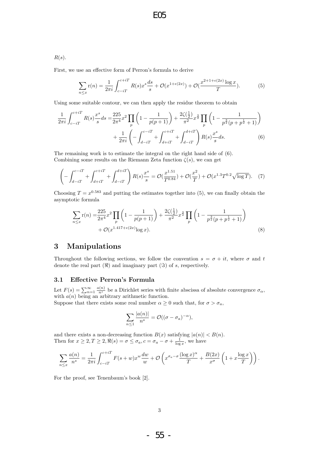# E05

$$
R(s).
$$

First, we use an effective form of Perron's formula to derive

$$
\sum_{n \le x} \mathbf{r}(n) = \frac{1}{2\pi i} \int_{c-iT}^{c+iT} R(s) x^s \frac{ds}{s} + \mathcal{O}(x^{1+\epsilon(2x)}) + \mathcal{O}(\frac{x^{2+1+\epsilon(2x)} \log x}{T}).\tag{5}
$$

Using some suitable contour, we can then apply the residue theorem to obtain

$$
\frac{1}{2\pi i} \int_{c-iT}^{c+iT} R(s) \frac{x^s}{s} ds = \frac{225}{2\pi^4} x^2 \prod_p \left( 1 - \frac{1}{p(p+1)} \right) + \frac{2\zeta(\frac{1}{2})}{\pi^2} x^{\frac{3}{2}} \prod_p \left( 1 - \frac{1}{p^{\frac{3}{2}}(p+p^{\frac{1}{2}}+1)} \right) + \frac{1}{2\pi i} \left( - \int_{d-iT}^{c-iT} + \int_{d+iT}^{c+iT} + \int_{d-iT}^{d+iT} \right) R(s) \frac{x^s}{s} ds.
$$
(6)

The remaining work is to estimate the integral on the right hand side of (6). Combining some results on the Riemann Zeta function  $\zeta(s)$ , we can get

$$
\left(-\int_{d-iT}^{c-iT} + \int_{d+iT}^{c+iT} + \int_{d-iT}^{d+iT}\right)R(s)\frac{x^s}{s} = \mathcal{O}(\frac{x^{1.51}}{T^{0.84}}) + \mathcal{O}(\frac{x^2}{T}) + \mathcal{O}(x^{1.3}T^{0.2}\sqrt{\log T}).\tag{7}
$$

Choosing  $T = x^{0.583}$  and putting the estimates together into (5), we can finally obtain the asymptotic formula

$$
\sum_{n \le x} \mathbf{r}(n) = \frac{225}{2\pi^4} x^2 \prod_p \left( 1 - \frac{1}{p(p+1)} \right) + \frac{2\zeta(\frac{1}{2})}{\pi^2} x^{\frac{3}{2}} \prod_p \left( 1 - \frac{1}{p^{\frac{3}{2}}(p+p^{\frac{1}{2}}+1)} \right) + \mathcal{O}(x^{1.417 + \epsilon(2x)} \log x).
$$
\n(8)

## 3 Manipulations

Throughout the following sections, we follow the convention  $s = \sigma + it$ , where  $\sigma$  and t denote the real part  $(\Re)$  and imaginary part  $(\Im)$  of s, respectively.

#### 3.1 Effective Perron's Formula

Let  $F(s) = \sum_{n=1}^{\infty} \frac{a(n)}{n^s}$  be a Dirichlet series with finite abscissa of absolute convergence  $\sigma_{\alpha}$ , with  $a(n)$  being an arbitrary arithmetic function.

Suppose that there exists some real number  $\alpha \geq 0$  such that, for  $\sigma > \sigma_a$ ,

$$
\sum_{n\leq 1} \frac{|a(n)|}{n^s} = \mathcal{O}((\sigma - \sigma_a)^{-\alpha}),
$$

and there exists a non-decreasing function  $B(x)$  satisfying  $|a(n)| < B(n)$ . Then for  $x \geq 2, T \geq 2, \Re(s) = \sigma \leq \sigma_a, c = \sigma_a - \sigma + \frac{1}{\log x}$ , we have

$$
\sum_{n\leq x}\frac{a(n)}{n^s}=\frac{1}{2\pi i}\int_{c-iT}^{c+iT}F(s+w)x^w\frac{dw}{w}+\mathcal{O}\left(x^{\sigma_a-\sigma}\frac{(\log x)^{\alpha}}{T}+\frac{B(2x)}{x^{\sigma}}\left(1+x\frac{\log x}{T}\right)\right).
$$

For the proof, see Tenenbaum's book [2].

- 55 -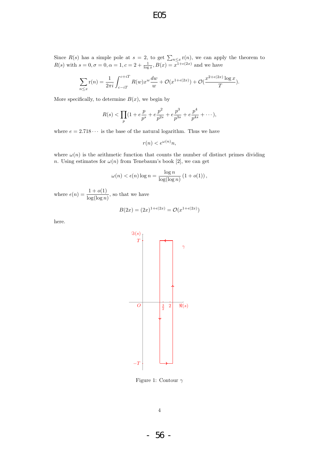Since  $R(s)$  has a simple pole at  $s = 2$ , to get  $\sum_{n \leq x} r(n)$ , we can apply the theorem to  $R(s)$  with  $s = 0, \sigma = 0, \alpha = 1, c = 2 + \frac{1}{\log x}, B(x) = x^{1 + \epsilon(2x)}$  and we have

$$
\sum_{n \le x} \mathbf{r}(n) = \frac{1}{2\pi i} \int_{c-iT}^{c+iT} R(w) x^w \frac{dw}{w} + \mathcal{O}(x^{1+\epsilon(2x)}) + \mathcal{O}(\frac{x^{2+\epsilon(2x)} \log x}{T}).
$$

More specifically, to determine  $B(x)$ , we begin by

$$
R(s) < \prod_{p} \left(1 + e\frac{p}{p^s} + e\frac{p^2}{p^{2s}} + e\frac{p^3}{p^{3s}} + e\frac{p^4}{p^{4s}} + \dots\right),
$$

where  $e = 2.718 \cdots$  is the base of the natural logarithm. Thus we have

$$
r(n) < e^{\omega(n)}n
$$

where  $\omega(n)$  is the arithmetic function that counts the number of distinct primes dividing n. Using estimates for  $\omega(n)$  from Tenebaum's book [2], we can get

$$
\omega(n) < \epsilon(n) \log n = \frac{\log n}{\log(\log n)} \left( 1 + o(1) \right),
$$

where  $\epsilon(n) = \frac{1 + o(1)}{\log(\log n)}$ , so that we have

$$
B(2x) = (2x)^{1+\epsilon(2x)} = \mathcal{O}(x^{1+\epsilon(2x)})
$$

here.



Figure 1: Contour  $\gamma$ 

- 56 -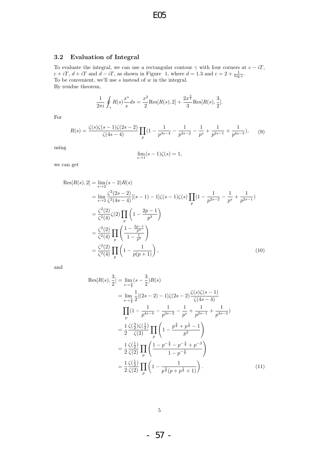#### 3.2 Evaluation of Integral

To evaluate the integral, we can use a rectangular contour  $\gamma$  with four corners at  $c - iT$ ,  $c + iT$ ,  $d + iT$  and  $d - iT$ , as shown in Figure 1, where  $d = 1.3$  and  $c = 2 + \frac{1}{\log x}$ . To be convenient, we'll use  $s$  instead of  $w$  in the integral. By residue theorem,

$$
\frac{1}{2\pi i} \oint_{\gamma} R(s) \frac{x^s}{s} ds = \frac{x^2}{2} \text{Res}[R(s), 2] + \frac{2x^{\frac{3}{2}}}{3} \text{Res}[R(s), \frac{3}{2}].
$$

For

$$
R(s) = \frac{\zeta(s)\zeta(s-1)\zeta(2s-2)}{\zeta(4s-4)} \prod_{p} \left(1 - \frac{1}{p^{4s-4}} - \frac{1}{p^{3s-2}} - \frac{1}{p^s} + \frac{1}{p^{2s-1}} + \frac{1}{p^{4s-3}}\right),\tag{9}
$$

using

$$
\lim_{s \to 1} (s-1)\zeta(s) = 1,
$$

we can get

$$
\operatorname{Res}[R(s), 2] = \lim_{s \to 2} (s - 2)R(s)
$$
  
\n
$$
= \lim_{s \to 2} \frac{\zeta^2 (2s - 2)}{\zeta^2 (4s - 4)} [(s - 1) - 1] \zeta (s - 1) \zeta (s) \prod_p (1 - \frac{1}{p^{2s - 2}} - \frac{1}{p^s} + \frac{1}{p^{2s - 1}})
$$
  
\n
$$
= \frac{\zeta^2 (2)}{\zeta^2 (4)} \zeta (2) \prod_p \left(1 - \frac{2p - 1}{p^3}\right)
$$
  
\n
$$
= \frac{\zeta^2 (2)}{\zeta^2 (4)} \prod_p \left(1 - \frac{2p - 1}{1 - \frac{1}{p^2}}\right)
$$
  
\n
$$
= \frac{\zeta^2 (2)}{\zeta^2 (4)} \prod_p \left(1 - \frac{1}{p(p + 1)}\right),
$$
 (10)

and

$$
\operatorname{Res}[R(s), \frac{3}{2}] = \lim_{s \to \frac{3}{2}} (s - \frac{3}{2}) R(s)
$$
  
\n
$$
= \lim_{s \to \frac{3}{2}} \frac{1}{2} [(2s - 2) - 1] \zeta (2s - 2) \frac{\zeta(s) \zeta(s - 1)}{\zeta(4s - 4)}
$$
  
\n
$$
\prod_{p} (1 - \frac{1}{p^{4s - 4}} - \frac{1}{p^{3s - 2}} - \frac{1}{p^{s}} + \frac{1}{p^{2s - 1}} + \frac{1}{p^{4s - 3}})
$$
  
\n
$$
= \frac{1}{2} \frac{\zeta(\frac{3}{2}) \zeta(\frac{1}{2})}{\zeta(2)} \prod_{p} \left(1 - \frac{p^{\frac{3}{2}} + p^{\frac{1}{2}} - 1}{p^{3}}\right)
$$
  
\n
$$
= \frac{1}{2} \frac{\zeta(\frac{1}{2})}{\zeta(2)} \prod_{p} \left(1 - \frac{p^{-\frac{3}{2}} - p^{-\frac{5}{2}} + p^{-3}}{1 - p^{-\frac{3}{2}}}\right)
$$
  
\n
$$
= \frac{1}{2} \frac{\zeta(\frac{1}{2})}{\zeta(2)} \prod_{p} \left(1 - \frac{1}{p^{\frac{3}{2}}(p + p^{\frac{1}{2}} + 1)}\right).
$$
(11)

- 57 -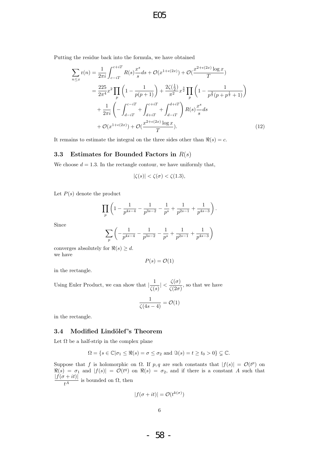### E05

Putting the residue back into the formula, we have obtained

$$
\sum_{n \le x} \mathbf{r}(n) = \frac{1}{2\pi i} \int_{c-iT}^{c+iT} R(s) \frac{x^s}{s} ds + \mathcal{O}(x^{1+\epsilon(2x)}) + \mathcal{O}(\frac{x^{2+\epsilon(2x)} \log x}{T})
$$
  
\n
$$
= \frac{225}{2\pi^4} x^2 \prod_p \left(1 - \frac{1}{p(p+1)}\right) + \frac{2\zeta(\frac{1}{2})}{\pi^2} x^{\frac{3}{2}} \prod_p \left(1 - \frac{1}{p^{\frac{3}{2}}(p+p^{\frac{1}{2}}+1)}\right)
$$
  
\n
$$
+ \frac{1}{2\pi i} \left(-\int_{d-iT}^{c-iT} + \int_{d+iT}^{c+iT} + \int_{d-iT}^{d+iT} \right) R(s) \frac{x^s}{s} ds
$$
  
\n
$$
+ \mathcal{O}(x^{1+\epsilon(2x)}) + \mathcal{O}(\frac{x^{2+\epsilon(2x)} \log x}{T}). \tag{12}
$$

It remains to estimate the integral on the three sides other than  $\Re(s) = c$ .

#### 3.3 Estimates for Bounded Factors in  $R(s)$

We choose  $d = 1.3$ . In the rectangle contour, we have uniformly that,

$$
|\zeta(s)| < \zeta(\sigma) < \zeta(1.3),
$$

Let  $P(s)$  denote the product

$$
\prod_{p} \left( 1 - \frac{1}{p^{4s-4}} - \frac{1}{p^{3s-2}} - \frac{1}{p^s} + \frac{1}{p^{2s-1}} + \frac{1}{p^{4s-3}} \right)
$$

.

Since

$$
\sum_{p} \left( -\frac{1}{p^{4s-4}} - \frac{1}{p^{3s-2}} - \frac{1}{p^s} + \frac{1}{p^{2s-1}} + \frac{1}{p^{4s-3}} \right)
$$

converges absolutely for  $\Re(s) \geq d$ . we have

$$
P(s) = \mathcal{O}(1)
$$

in the rectangle.

Using Euler Product, we can show that  $\frac{1}{\epsilon}$  $\frac{1}{\zeta(s)}| < \frac{\zeta(\sigma)}{\zeta(2\sigma)}$  $\frac{\varsigma(0)}{\zeta(2\sigma)}$ , so that we have

$$
\frac{1}{\zeta(4s-4)} = \mathcal{O}(1)
$$

in the rectangle.

#### 3.4 Modified Lindölef's Theorem

Let  $\Omega$  be a half-strip in the complex plane

$$
\Omega = \{ s \in \mathbb{C} | \sigma_1 \leq \Re(s) = \sigma \leq \sigma_2 \text{ and } \Im(s) = t \geq t_0 > 0 \} \subsetneq \mathbb{C}.
$$

Suppose that f is holomorphic on  $\Omega$ . If p, q are such constants that  $|f(s)| = \mathcal{O}(t^p)$  on  $\Re(s) = \sigma_1$  and  $|f(s)| = \mathcal{O}(t^q)$  on  $\Re(s) = \sigma_2$ , and if there is a constant A such that  $|f(\sigma+it)|$  $\frac{t^{A}}{t^{A}}$  is bounded on  $\Omega$ , then

$$
|f(\sigma + it)| = \mathcal{O}(t^{k(\sigma)})
$$

- 58 -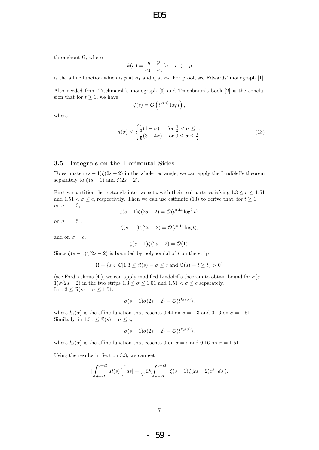throughout  $\Omega$ , where

$$
k(\sigma) = \frac{q-p}{\sigma_2 - \sigma_1}(\sigma - \sigma_1) + p
$$

is the affine function which is p at  $\sigma_1$  and q at  $\sigma_2$ . For proof, see Edwards' monograph [1].

Also needed from Titchmarsh's monograph [3] and Tenenbaum's book [2] is the conclusion that for  $t \geq 1$ , we have

$$
\zeta(s) = \mathcal{O}\left(t^{\kappa(\sigma)}\log t\right),\,
$$

where

$$
\kappa(\sigma) \le \begin{cases} \frac{1}{3}(1-\sigma) & \text{for } \frac{1}{2} < \sigma \le 1, \\ \frac{1}{6}(3-4\sigma) & \text{for } 0 \le \sigma \le \frac{1}{2}. \end{cases} \tag{13}
$$

#### 3.5 Integrals on the Horizontal Sides

To estimate  $\zeta(s-1)\zeta(2s-2)$  in the whole rectangle, we can apply the Lindölef's theorem separately to  $\zeta(s-1)$  and  $\zeta(2s-2)$ .

First we partition the rectangle into two sets, with their real parts satisfying  $1.3 \leq \sigma \leq 1.51$ and  $1.51 < \sigma \leq c$ , respectively. Then we can use estimate (13) to derive that, for  $t \geq 1$ on  $\sigma = 1.3$ ,

$$
\zeta(s-1)\zeta(2s-2) = \mathcal{O}(t^{0.44} \log^2 t),
$$

on  $\sigma = 1.51$ ,

$$
\zeta(s-1)\zeta(2s-2) = \mathcal{O}(t^{0.16}\log t),
$$

and on  $\sigma = c$ ,

$$
\zeta(s-1)\zeta(2s-2) = \mathcal{O}(1).
$$

Since  $\zeta(s-1)\zeta(2s-2)$  is bounded by polynomial of t on the strip

$$
\Omega = \{ s \in \mathbb{C} | 1.3 \leq \Re(s) = \sigma \leq c \text{ and } \Im(s) = t \geq t_0 > 0 \}
$$

(see Ford's thesis [4]), we can apply modified Lindölef's theorem to obtain bound for  $\sigma(s 1)\sigma(2s-2)$  in the two strips  $1.3 \leq \sigma \leq 1.51$  and  $1.51 < \sigma \leq c$  separately. In  $1.3 \leq \Re(s) = \sigma \leq 1.51$ ,

$$
\sigma(s-1)\sigma(2s-2) = \mathcal{O}(t^{k_1(\sigma)}),
$$

where  $k_1(\sigma)$  is the affine function that reaches 0.44 on  $\sigma = 1.3$  and 0.16 on  $\sigma = 1.51$ . Similarly, in  $1.51 \leq \Re(s) = \sigma \leq c$ ,

$$
\sigma(s-1)\sigma(2s-2) = \mathcal{O}(t^{k_2(\sigma)}),
$$

where  $k_2(\sigma)$  is the affine function that reaches 0 on  $\sigma = c$  and 0.16 on  $\sigma = 1.51$ .

Using the results in Section 3.3, we can get

$$
|\int_{d+iT}^{c+iT} R(s) \frac{x^s}{s} ds| = \frac{1}{T} \mathcal{O}(\int_{d+iT}^{c+iT} |\zeta(s-1)\zeta(2s-2)x^s| |ds|).
$$

- 59 -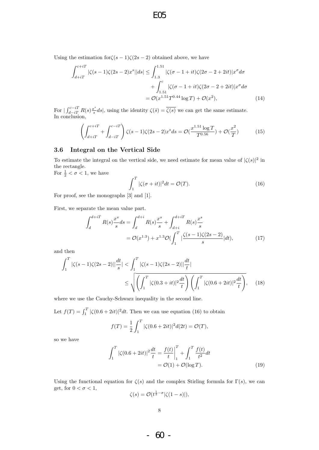Using the estimation for  $\zeta(s-1)\zeta(2s-2)$  obtained above, we have

$$
\int_{d+iT}^{c+iT} |\zeta(s-1)\zeta(2s-2)x^s||ds| \le \int_{1.3}^{1.51} |\zeta(\sigma-1+it)\zeta(2\sigma-2+2it)|x^{\sigma} d\sigma \n+ \int_{1.51}^{c} |\zeta(\sigma-1+it)\zeta(2\sigma-2+2it)|x^{\sigma} d\sigma \n= \mathcal{O}(x^{1.51}T^{0.44} \log T) + \mathcal{O}(x^2),
$$
\n(14)

E05

For  $\int_{d-iT}^{c-iT} R(s) \frac{x^s}{s}$  $s^s \, ds$ , using the identity  $\zeta(\bar{s}) = \zeta(s)$  we can get the same estimate. In conclusion,

$$
\left(\int_{d+iT}^{c+iT} + \int_{d-iT}^{c-iT} \right) \zeta(s-1)\zeta(2s-2)x^s ds = \mathcal{O}(\frac{x^{1.51} \log T}{T^{0.56}}) + \mathcal{O}(\frac{x^2}{T})
$$
(15)

#### 3.6 Integral on the Vertical Side

To estimate the integral on the vertical side, we need estimate for mean value of  $|\zeta(s)|^2$  in the rectangle. For  $\frac{1}{2} < \sigma < 1$ , we have

 $\int_0^T$ 1  $|\zeta(\sigma + it)|^2 dt = \mathcal{O}(T).$  (16)

For proof, see the monographs [3] and [1].

First, we separate the mean value part.

$$
\int_{d}^{d+iT} R(s) \frac{x^{s}}{s} ds = \int_{d}^{d+i} R(s) \frac{x^{s}}{s} + \int_{d+i}^{d+iT} R(s) \frac{x^{s}}{s}
$$

$$
= \mathcal{O}(x^{1.3}) + x^{1.3} \mathcal{O}(\int_{1}^{T} \left| \frac{\zeta(s-1)\zeta(2s-2)}{s} \right| dt), \tag{17}
$$

and then

$$
\int_{1}^{T} |\zeta(s-1)\zeta(2s-2)| \Big| \frac{dt}{s} \Big| < \int_{1}^{T} |\zeta(s-1)\zeta(2s-2)| \Big| \frac{dt}{t} \Big| \\
\leq \sqrt{\left(\int_{1}^{T} |\zeta(0.3+it)|^{2} \frac{dt}{t}\right) \left(\int_{1}^{T} |\zeta(0.6+2it)|^{2} \frac{dt}{t}\right)},\n\tag{18}
$$

where we use the Cauchy-Schwarz inequality in the second line.

Let  $f(T) = \int_1^T |\zeta(0.6 + 2it)|^2 dt$ . Then we can use equation (16) to obtain

$$
f(T) = \frac{1}{2} \int_{1}^{T} |\zeta(0.6 + 2it)|^2 d(2t) = \mathcal{O}(T),
$$

so we have

$$
\int_{1}^{T} |\zeta(0.6 + 2it)|^{2} \frac{dt}{t} = \frac{f(t)}{t} \Big|_{1}^{T} + \int_{1}^{T} \frac{f(t)}{t^{2}} dt
$$

$$
= \mathcal{O}(1) + \mathcal{O}(\log T). \tag{19}
$$

Using the functional equation for  $\zeta(s)$  and the complex Stirling formula for  $\Gamma(s)$ , we can get, for  $0 < \sigma < 1$ ,  $\zeta$ 1

$$
\zeta(s) = \mathcal{O}(t^{\frac{1}{2}-\sigma}|\zeta(1-s)|),
$$

- 60 -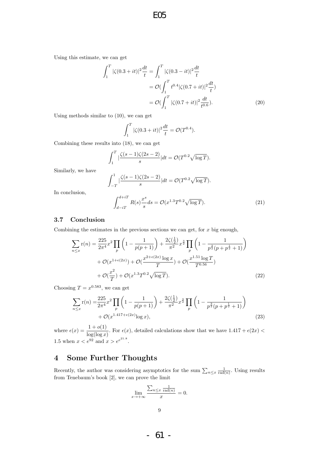Using this estimate, we can get

$$
\int_{1}^{T} |\zeta(0.3+it)|^{2} \frac{dt}{t} = \int_{1}^{T} |\zeta(0.3-it)|^{2} \frac{dt}{t}
$$

$$
= \mathcal{O}\left(\int_{1}^{T} t^{0.4} |\zeta(0.7+it)|^{2} \frac{dt}{t}\right)
$$

$$
= \mathcal{O}\left(\int_{1}^{T} |\zeta(0.7+it)|^{2} \frac{dt}{t^{0.6}}\right).
$$
(20)

Using methods similar to (10), we can get

$$
\int_{1}^{T} |\zeta(0.3+it)|^2 \frac{dt}{t} = \mathcal{O}(T^{0.4}).
$$

Combining these results into (18), we can get

$$
\int_1^T \left| \frac{\zeta(s-1)\zeta(2s-2)}{s} \right| dt = \mathcal{O}(T^{0.2}\sqrt{\log T}).
$$

Similarly, we have

$$
\int_{-T}^{1} |\frac{\zeta(s-1)\zeta(2s-2)}{s}| dt = \mathcal{O}(T^{0.2}\sqrt{\log T}).
$$

In conclusion,

$$
\int_{d-iT}^{d+iT} R(s) \frac{x^s}{s} ds = \mathcal{O}(x^{1.3} T^{0.2} \sqrt{\log T}).
$$
\n(21)

#### 3.7 Conclusion

Combining the estimates in the previous sections we can get, for  $x$  big enough,

$$
\sum_{n \le x} \mathbf{r}(n) = \frac{225}{2\pi^4} x^2 \prod_p \left( 1 - \frac{1}{p(p+1)} \right) + \frac{2\zeta(\frac{1}{2})}{\pi^2} x^{\frac{3}{2}} \prod_p \left( 1 - \frac{1}{p^{\frac{3}{2}}(p+p^{\frac{1}{2}}+1)} \right) + \mathcal{O}(x^{1+\epsilon(2x)}) + \mathcal{O}(\frac{x^{2+\epsilon(2x)} \log x}{T}) + \mathcal{O}(\frac{x^{1.51} \log T}{T^{0.56}}) + \mathcal{O}(\frac{x^2}{T}) + \mathcal{O}(x^{1.3}T^{0.2}\sqrt{\log T}).
$$
\n(22)

Choosing  $T = x^{0.583}$ , we can get

$$
\sum_{n \le x} \mathbf{r}(n) = \frac{225}{2\pi^4} x^2 \prod_p \left( 1 - \frac{1}{p(p+1)} \right) + \frac{2\zeta(\frac{1}{2})}{\pi^2} x^{\frac{3}{2}} \prod_p \left( 1 - \frac{1}{p^{\frac{3}{2}}(p+p^{\frac{1}{2}}+1)} \right) + \mathcal{O}(x^{1.417 + \epsilon(2x)} \log x),
$$
\n(23)

where  $\epsilon(x) = \frac{1 + o(1)}{\log(\log x)}$ . For  $\epsilon(x)$ , detailed calculations show that we have  $1.417 + \epsilon(2x)$ 1.5 when  $x < e^{92}$  and  $x > e^{e^{21.8}}$ .

# 4 Some Further Thoughts

Recently, the author was considering asymptotics for the sum  $\sum_{n\leq x} \frac{1}{\text{rad}(n)}$ . Using results from Tenebaum's book [2], we can prove the limit

$$
\lim_{x \to +\infty} \frac{\sum_{n \leq x} \frac{1}{\text{rad}(n)}}{x} = 0.
$$

- 61 -